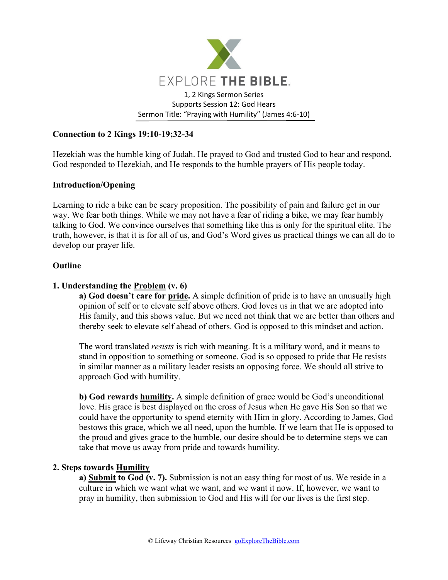

# **Connection to 2 Kings 19:10-19;32-34**

Hezekiah was the humble king of Judah. He prayed to God and trusted God to hear and respond. God responded to Hezekiah, and He responds to the humble prayers of His people today.

### **Introduction/Opening**

Learning to ride a bike can be scary proposition. The possibility of pain and failure get in our way. We fear both things. While we may not have a fear of riding a bike, we may fear humbly talking to God. We convince ourselves that something like this is only for the spiritual elite. The truth, however, is that it is for all of us, and God's Word gives us practical things we can all do to develop our prayer life.

### **Outline**

## **1. Understanding the Problem (v. 6)**

**a) God doesn't care for pride.** A simple definition of pride is to have an unusually high opinion of self or to elevate self above others. God loves us in that we are adopted into His family, and this shows value. But we need not think that we are better than others and thereby seek to elevate self ahead of others. God is opposed to this mindset and action.

The word translated *resists* is rich with meaning. It is a military word, and it means to stand in opposition to something or someone. God is so opposed to pride that He resists in similar manner as a military leader resists an opposing force. We should all strive to approach God with humility.

**b) God rewards humility.** A simple definition of grace would be God's unconditional love. His grace is best displayed on the cross of Jesus when He gave His Son so that we could have the opportunity to spend eternity with Him in glory. According to James, God bestows this grace, which we all need, upon the humble. If we learn that He is opposed to the proud and gives grace to the humble, our desire should be to determine steps we can take that move us away from pride and towards humility.

### **2. Steps towards Humility**

**a) Submit to God (v. 7).** Submission is not an easy thing for most of us. We reside in a culture in which we want what we want, and we want it now. If, however, we want to pray in humility, then submission to God and His will for our lives is the first step.